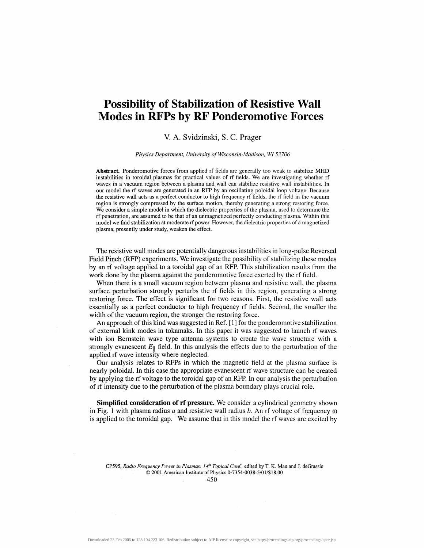## **Possibility of Stabilization of Resistive Wall Modes in RFPs by RF Ponderomotive Forces**

## V. A. Svidzinski, S. C. Prager

*Physics Department, University of Wisconsin-Madison, WI53706*

**Abstract.** Ponderomotive forces from applied rf fields are generally too weak to stabilize MHD instabilities in toroidal plasmas for practical values of rf fields. We are investigating whether rf waves in a vacuum region between a plasma and wall can stabilize resistive wall instabilities. In our model the rf waves are generated in an RFP by an oscillating poloidal loop voltage. Because the resistive wall acts as a perfect conductor to high frequency rf fields, the rf field in the vacuum region is strongly compressed by the surface motion, thereby generating a strong restoring force. We consider a simple model in which the dielectric properties of the plasma, used to determine the rf penetration, are assumed to be that of an unmagnetized perfectly conducting plasma. Within this model we find stabilization at moderate rf power. However, the dielectric properties of a magnetized plasma, presently under study, weaken the effect.

The resistive wall modes are potentially dangerous instabilities in long-pulse Reversed Field Pinch (RFP) experiments. We investigate the possibility of stabilizing these modes by an rf voltage applied to a toroidal gap of an RFP. This stabilization results from the work done by the plasma against the ponderomotive force exerted by the rf field.

When there is a small vacuum region between plasma and resistive wall, the plasma surface perturbation strongly perturbs the rf fields in this region, generating a strong restoring force. The effect is significant for two reasons. First, the resistive wall acts essentially as a perfect conductor to high frequency rf fields. Second, the smaller the width of the vacuum region, the stronger the restoring force.

An approach of this kind was suggested in Ref. [1] for the ponderomotive stabilization of external kink modes in tokamaks. In this paper it was suggested to launch rf waves with ion Bernstein wave type antenna systems to create the wave structure with a strongly evanescent  $E_\parallel$  field. In this analysis the effects due to the perturbation of the applied rf wave intensity where neglected.

Our analysis relates to RFPs in which the magnetic field at the plasma surface is nearly poloidal. In this case the appropriate evanescent rf wave structure can be created by applying the rf voltage to the toroidal gap of an RFP. In our analysis the perturbation of rf intensity due to the perturbation of the plasma boundary plays crucial role.

**Simplified consideration of rf pressure.** We consider a cylindrical geometry shown in Fig. 1 with plasma radius  $a$  and resistive wall radius  $b$ . An rf voltage of frequency  $\omega$ is applied to the toroidal gap. We assume that in this model the rf waves are excited by

CP595, *Radio Frequency Power in Plasmas: 14th Topical Conf,* edited by T. K. Mau and J. deGrassie © 2001 American Institute of Physics 0-7354-0038-5/01/\$18.00

450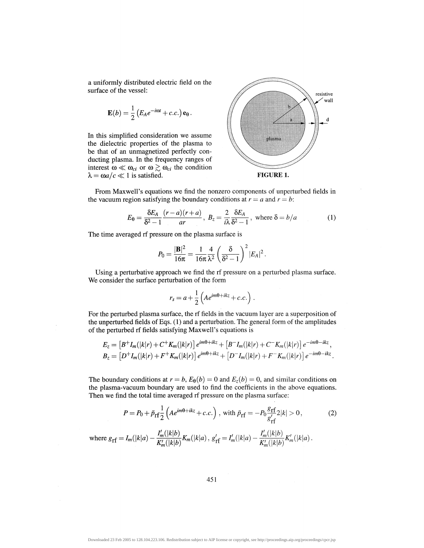a uniformly distributed electric field on the surface of the vessel:

$$
\mathbf{E}(b) = \frac{1}{2} \left( E_A e^{-i\omega t} + c.c. \right) \mathbf{e}_{\theta}.
$$

In this simplified consideration we assume the dielectric properties of the plasma to be that of an unmagnetized perfectly conducting plasma. In the frequency ranges of interest  $\omega \ll \omega_{ci}$  or  $\omega \gtrsim \omega_{ci}$  the condition  $\lambda = \omega a/c \ll 1$  is satisfied. **FIGURE 1.** 



From Maxwell's equations we find the nonzero components of unperturbed fields in the vacuum region satisfying the boundary conditions at  $r = a$  and  $r = b$ .

$$
E_{\theta} = \frac{\delta E_A}{\delta^2 - 1} \frac{(r - a)(r + a)}{ar}, \ B_z = \frac{2}{i\lambda} \frac{\delta E_A}{\delta^2 - 1}, \text{ where } \delta = b/a \tag{1}
$$

The time averaged rf pressure on the plasma surface is

$$
P_0 = \frac{|\mathbf{B}|^2}{16\pi} = \frac{1}{16\pi} \frac{4}{\lambda^2} \left(\frac{\delta}{\delta^2 - 1}\right)^2 |E_A|^2.
$$

Using a perturbative approach we find the rf pressure on a perturbed plasma surface. We consider the surface perturbation of the form

$$
r_s = a + \frac{1}{2} \left( A e^{im\theta + ikz} + c.c. \right).
$$

For the perturbed plasma surface, the rf fields in the vacuum layer are a superposition of the unperturbed fields of Eqs. (1) and a perturbation. The general form of the amplitudes of the perturbed rf fields satisfying Maxwell's equations is

$$
E_z = [B^+I_m(|k|r) + C^+K_m(|k|r)] e^{im\theta + ikz} + [B^-I_m(|k|r) + C^-K_m(|k|r)] e^{-im\theta - ikz},
$$
  
\n
$$
B_z = [D^+I_m(|k|r) + F^+K_m(|k|r)] e^{im\theta + ikz} + [D^-I_m(|k|r) + F^-K_m(|k|r)] e^{-im\theta - ikz}.
$$

The boundary conditions at  $r = b$ ,  $E_{\theta}(b) = 0$  and  $E_{z}(b) = 0$ , and similar conditions on the plasma- vacuum boundary are used to find the coefficients in the above equations. Then we find the total time averaged rf pressure on the plasma surface:

$$
P = P_0 + \tilde{p}_{\rm rf} \frac{1}{2} \left( A e^{im\theta + ikz} + c.c. \right), \text{ with } \tilde{p}_{\rm rf} = -P_0 \frac{g_{\rm rf}}{g'_{\rm rf}} 2|k| > 0,
$$
 (2)

where 
$$
g_{\text{rf}} = I_m(|k|a) - \frac{I'_m(|k|b)}{K'_m(|k|b)} K_m(|k|a), g'_{\text{rf}} = I'_m(|k|a) - \frac{I'_m(|k|b)}{K'_m(|k|b)} K'_m(|k|a).
$$

451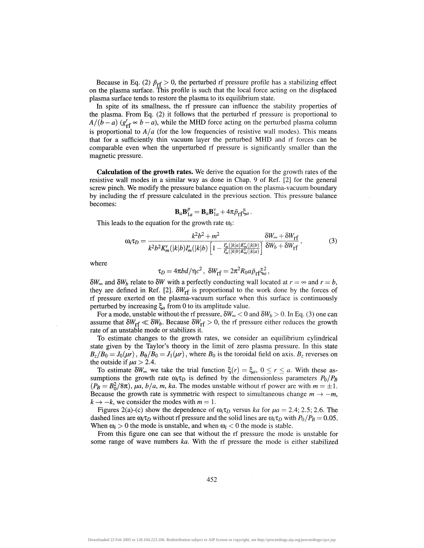Because in Eq. (2)  $\tilde{p}_{rf} > 0$ , the perturbed rf pressure profile has a stabilizing effect on the plasma surface. This profile is such that the local force acting on the displaced plasma surface tends to restore the plasma to its equilibrium state.

In spite of its smallness, the rf pressure can influence the stability properties of the plasma. From Eq. (2) it follows that the perturbed rf pressure is proportional to  $A/(\bar{b}-a)$  ( $g'_{\text{rf}} \propto b-a$ ), while the MHD force acting on the perturbed plasma column is proportional to  $A/a$  (for the low frequencies of resistive wall modes). This means that for a sufficiently thin vacuum layer the perturbed MHD and rf forces can be comparable even when the unperturbed rf pressure is significantly smaller than the magnetic pressure.

**Calculation of the growth rates.** We derive the equation for the growth rates of the resistive wall modes in a similar way as done in Chap. 9 of Ref. [2] for the general screw pinch. We modify the pressure balance equation on the plasma- vacuum boundary by including the rf pressure calculated in the previous section. This pressure balance becomes:

$$
\mathbf{B}_a \mathbf{B}_{1a}^p = \mathbf{B}_a \mathbf{B}_{1a}^v + 4\pi \tilde{p}_{\rm rf} \xi_a.
$$

This leads to the equation for the growth rate  $\omega_i$ :

$$
\omega_i \tau_D = \frac{k^2 b^2 + m^2}{k^2 b^2 K'_m(|k|b) I'_m(|k|b) \left[1 - \frac{I'_m(|k|a) K'_m(|k|b)}{I'_m(|k|b) K'_m(|k|a)}\right]} \frac{\delta W_\infty + \delta W_{\rm rf}}{\delta W_b + \delta W_{\rm rf}},\tag{3}
$$

where

$$
\tau_D=4\pi b d/\eta c^2\,,\,\,\delta W_{rf}=2\pi^2 R_0 a \tilde{\rho}_{rf} \xi_a^2\,,
$$

 $\delta W_{\infty}$  and  $\delta W_b$  relate to  $\delta W$  with a perfectly conducting wall located at  $r = \infty$  and  $r = b$ , they are defined in Ref. [2].  $\delta W_{\text{rf}}$  is proportional to the work done by the forces of rf pressure exerted on the plasma-vacuum surface when this surface is continuously perturbed by increasing  $\xi_a$  from 0 to its amplitude value.

For a mode, unstable without-the rf pressure,  $\delta W_{\infty} < 0$  and  $\delta W_{b} > 0$ . In Eq. (3) one can assume that  $\delta W_{\text{rf}} \ll \delta W_b$ . Because  $\delta W_{\text{rf}} > 0$ , the rf pressure either reduces the growth rate of an unstable mode or stabilizes it.

To estimate changes to the growth rates, we consider an equilibrium cylindrical state given by the Taylor's theory in the limit of zero plasma pressure. In this state  $B_z/B_0 = J_0(\mu r)$ ,  $B_\theta/B_0 = J_1(\mu r)$ , where  $B_0$  is the toroidal field on axis.  $B_z$  reverses on the outside if  $\mu a > 2.4$ .

To estimate  $\delta W_{\infty}$  we take the trial function  $\xi(r) = \xi_a$ ,  $0 \le r \le a$ . With these assumptions the growth rate  $\omega_i \tau_D$  is defined by the dimensionless parameters  $P_0/P_B$  $(P_B = B_0^2/8\pi)$ , *µa*, *b*/*a*, *m*, *ka*. The modes unstable without rf power are with  $m = \pm 1$ . Because the growth rate is symmetric with respect to simultaneous change  $m \to -m$ ,  $k \rightarrow -k$ , we consider the modes with  $m = 1$ .

Figures 2(a)-(c) show the dependence of  $\omega_i \tau_D$  versus *ka* for  $\mu a = 2.4$ ; 2.5; 2.6. The dashed lines are  $\omega_i \tau_D$  without rf pressure and the solid lines are  $\omega_i \tau_D$  with  $P_0/P_B = 0.05$ . When  $\omega_i > 0$  the mode is unstable, and when  $\omega_i < 0$  the mode is stable.

From this figure one can see that without the rf pressure the mode is unstable for some range of wave numbers *ka.* With the rf pressure the mode is either stabilized